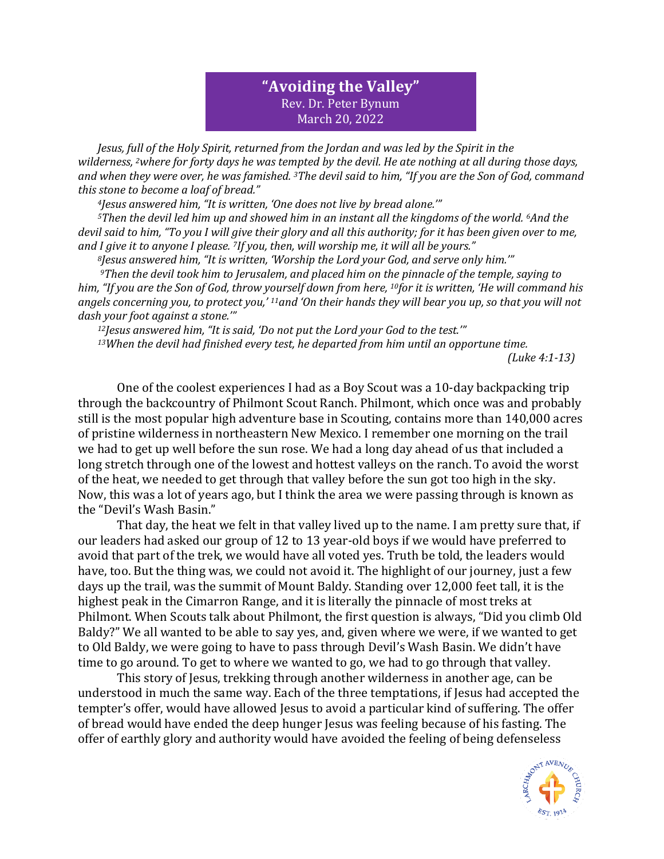## **"Avoiding the Valley"** Rev. Dr. Peter Bynum March 20, 2022

*Jesus, full of the Holy Spirit, returned from the Jordan and was led by the Spirit in the wilderness, <sup>2</sup>where for forty days he was tempted by the devil. He ate nothing at all during those days, and when they were over, he was famished. <sup>3</sup>The devil said to him, "If you are the Son of God, command this stone to become a loaf of bread."*

*<sup>4</sup>Jesus answered him, "It is written, 'One does not live by bread alone.'"*

*<sup>5</sup>Then the devil led him up and showed him in an instant all the kingdoms of the world. <sup>6</sup>And the devil said to him, "To you I will give their glory and all this authority; for it has been given over to me, and I give it to anyone I please. <sup>7</sup>If you, then, will worship me, it will all be yours."*

*<sup>8</sup>Jesus answered him, "It is written, 'Worship the Lord your God, and serve only him.'"*

*<sup>9</sup>Then the devil took him to Jerusalem, and placed him on the pinnacle of the temple, saying to him, "If you are the Son of God, throw yourself down from here, <sup>10</sup>for it is written, 'He will command his angels concerning you, to protect you,' <sup>11</sup>and 'On their hands they will bear you up, so that you will not dash your foot against a stone.'"*

*<sup>12</sup>Jesus answered him, "It is said, 'Do not put the Lord your God to the test.'"*

*<sup>13</sup>When the devil had finished every test, he departed from him until an opportune time.*

*(Luke 4:1-13)*

One of the coolest experiences I had as a Boy Scout was a 10-day backpacking trip through the backcountry of Philmont Scout Ranch. Philmont, which once was and probably still is the most popular high adventure base in Scouting, contains more than 140,000 acres of pristine wilderness in northeastern New Mexico. I remember one morning on the trail we had to get up well before the sun rose. We had a long day ahead of us that included a long stretch through one of the lowest and hottest valleys on the ranch. To avoid the worst of the heat, we needed to get through that valley before the sun got too high in the sky. Now, this was a lot of years ago, but I think the area we were passing through is known as the "Devil's Wash Basin."

That day, the heat we felt in that valley lived up to the name. I am pretty sure that, if our leaders had asked our group of 12 to 13 year-old boys if we would have preferred to avoid that part of the trek, we would have all voted yes. Truth be told, the leaders would have, too. But the thing was, we could not avoid it. The highlight of our journey, just a few days up the trail, was the summit of Mount Baldy. Standing over 12,000 feet tall, it is the highest peak in the Cimarron Range, and it is literally the pinnacle of most treks at Philmont. When Scouts talk about Philmont, the first question is always, "Did you climb Old Baldy?" We all wanted to be able to say yes, and, given where we were, if we wanted to get to Old Baldy, we were going to have to pass through Devil's Wash Basin. We didn't have time to go around. To get to where we wanted to go, we had to go through that valley.

This story of Jesus, trekking through another wilderness in another age, can be understood in much the same way. Each of the three temptations, if Jesus had accepted the tempter's offer, would have allowed Jesus to avoid a particular kind of suffering. The offer of bread would have ended the deep hunger Jesus was feeling because of his fasting. The offer of earthly glory and authority would have avoided the feeling of being defenseless

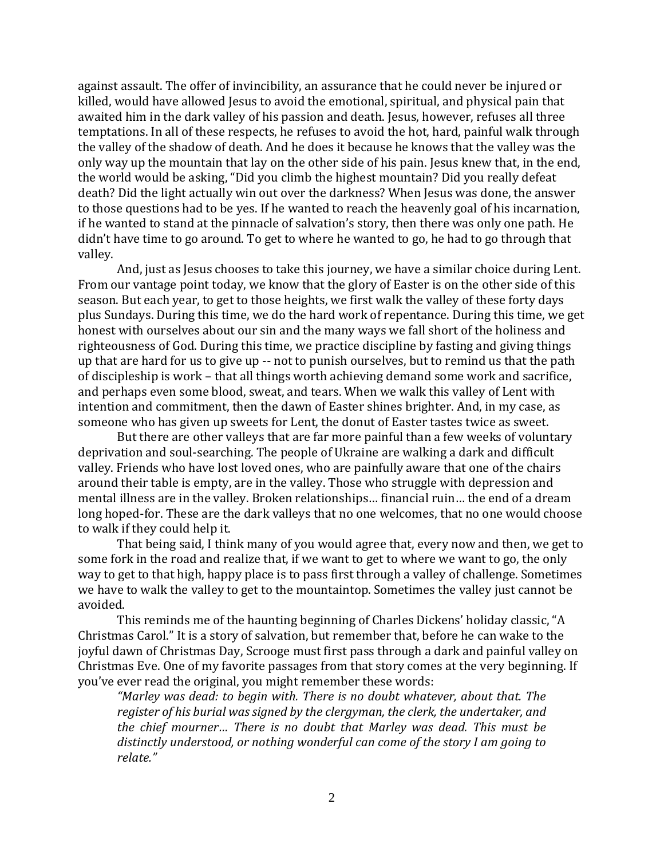against assault. The offer of invincibility, an assurance that he could never be injured or killed, would have allowed Jesus to avoid the emotional, spiritual, and physical pain that awaited him in the dark valley of his passion and death. Jesus, however, refuses all three temptations. In all of these respects, he refuses to avoid the hot, hard, painful walk through the valley of the shadow of death. And he does it because he knows that the valley was the only way up the mountain that lay on the other side of his pain. Jesus knew that, in the end, the world would be asking, "Did you climb the highest mountain? Did you really defeat death? Did the light actually win out over the darkness? When Jesus was done, the answer to those questions had to be yes. If he wanted to reach the heavenly goal of his incarnation, if he wanted to stand at the pinnacle of salvation's story, then there was only one path. He didn't have time to go around. To get to where he wanted to go, he had to go through that valley.

And, just as Jesus chooses to take this journey, we have a similar choice during Lent. From our vantage point today, we know that the glory of Easter is on the other side of this season. But each year, to get to those heights, we first walk the valley of these forty days plus Sundays. During this time, we do the hard work of repentance. During this time, we get honest with ourselves about our sin and the many ways we fall short of the holiness and righteousness of God. During this time, we practice discipline by fasting and giving things up that are hard for us to give up -- not to punish ourselves, but to remind us that the path of discipleship is work – that all things worth achieving demand some work and sacrifice, and perhaps even some blood, sweat, and tears. When we walk this valley of Lent with intention and commitment, then the dawn of Easter shines brighter. And, in my case, as someone who has given up sweets for Lent, the donut of Easter tastes twice as sweet.

But there are other valleys that are far more painful than a few weeks of voluntary deprivation and soul-searching. The people of Ukraine are walking a dark and difficult valley. Friends who have lost loved ones, who are painfully aware that one of the chairs around their table is empty, are in the valley. Those who struggle with depression and mental illness are in the valley. Broken relationships… financial ruin… the end of a dream long hoped-for. These are the dark valleys that no one welcomes, that no one would choose to walk if they could help it.

That being said, I think many of you would agree that, every now and then, we get to some fork in the road and realize that, if we want to get to where we want to go, the only way to get to that high, happy place is to pass first through a valley of challenge. Sometimes we have to walk the valley to get to the mountaintop. Sometimes the valley just cannot be avoided.

This reminds me of the haunting beginning of Charles Dickens' holiday classic, "A Christmas Carol." It is a story of salvation, but remember that, before he can wake to the joyful dawn of Christmas Day, Scrooge must first pass through a dark and painful valley on Christmas Eve. One of my favorite passages from that story comes at the very beginning. If you've ever read the original, you might remember these words:

*"Marley was dead: to begin with. There is no doubt whatever, about that. The register of his burial was signed by the clergyman, the clerk, the undertaker, and the chief mourner… There is no doubt that Marley was dead. This must be distinctly understood, or nothing wonderful can come of the story I am going to relate."*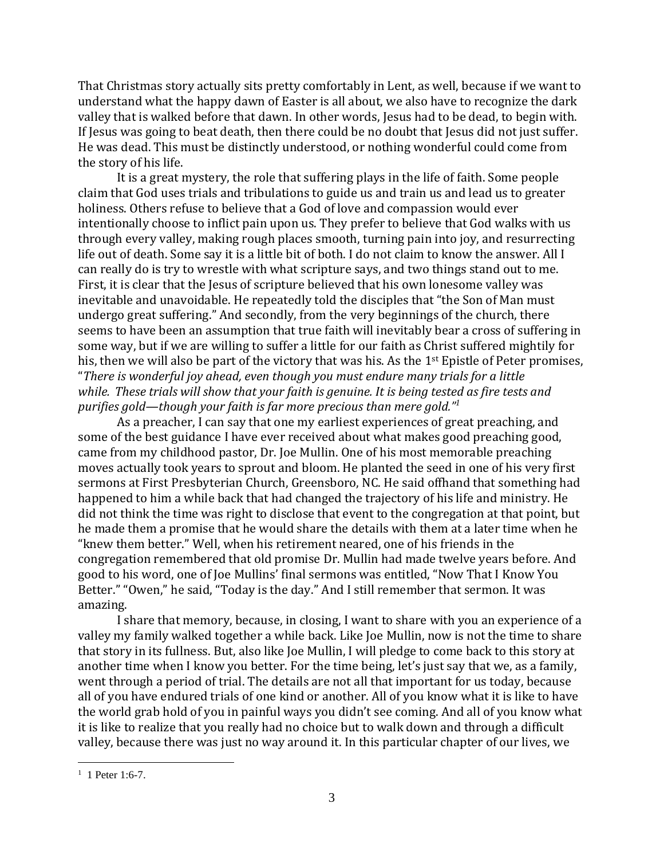That Christmas story actually sits pretty comfortably in Lent, as well, because if we want to understand what the happy dawn of Easter is all about, we also have to recognize the dark valley that is walked before that dawn. In other words, Jesus had to be dead, to begin with. If Jesus was going to beat death, then there could be no doubt that Jesus did not just suffer. He was dead. This must be distinctly understood, or nothing wonderful could come from the story of his life.

It is a great mystery, the role that suffering plays in the life of faith. Some people claim that God uses trials and tribulations to guide us and train us and lead us to greater holiness. Others refuse to believe that a God of love and compassion would ever intentionally choose to inflict pain upon us. They prefer to believe that God walks with us through every valley, making rough places smooth, turning pain into joy, and resurrecting life out of death. Some say it is a little bit of both. I do not claim to know the answer. All I can really do is try to wrestle with what scripture says, and two things stand out to me. First, it is clear that the Jesus of scripture believed that his own lonesome valley was inevitable and unavoidable. He repeatedly told the disciples that "the Son of Man must undergo great suffering." And secondly, from the very beginnings of the church, there seems to have been an assumption that true faith will inevitably bear a cross of suffering in some way, but if we are willing to suffer a little for our faith as Christ suffered mightily for his, then we will also be part of the victory that was his. As the 1<sup>st</sup> Epistle of Peter promises, "*There is wonderful joy ahead, even though you must endure many trials for a little while. These trials will show that your faith is genuine. It is being tested as fire tests and purifies gold—though your faith is far more precious than mere gold." 1*

As a preacher, I can say that one my earliest experiences of great preaching, and some of the best guidance I have ever received about what makes good preaching good, came from my childhood pastor, Dr. Joe Mullin. One of his most memorable preaching moves actually took years to sprout and bloom. He planted the seed in one of his very first sermons at First Presbyterian Church, Greensboro, NC. He said offhand that something had happened to him a while back that had changed the trajectory of his life and ministry. He did not think the time was right to disclose that event to the congregation at that point, but he made them a promise that he would share the details with them at a later time when he "knew them better." Well, when his retirement neared, one of his friends in the congregation remembered that old promise Dr. Mullin had made twelve years before. And good to his word, one of Joe Mullins' final sermons was entitled, "Now That I Know You Better." "Owen," he said, "Today is the day." And I still remember that sermon. It was amazing.

I share that memory, because, in closing, I want to share with you an experience of a valley my family walked together a while back. Like Joe Mullin, now is not the time to share that story in its fullness. But, also like Joe Mullin, I will pledge to come back to this story at another time when I know you better. For the time being, let's just say that we, as a family, went through a period of trial. The details are not all that important for us today, because all of you have endured trials of one kind or another. All of you know what it is like to have the world grab hold of you in painful ways you didn't see coming. And all of you know what it is like to realize that you really had no choice but to walk down and through a difficult valley, because there was just no way around it. In this particular chapter of our lives, we

 $1$  1 Peter 1:6-7.